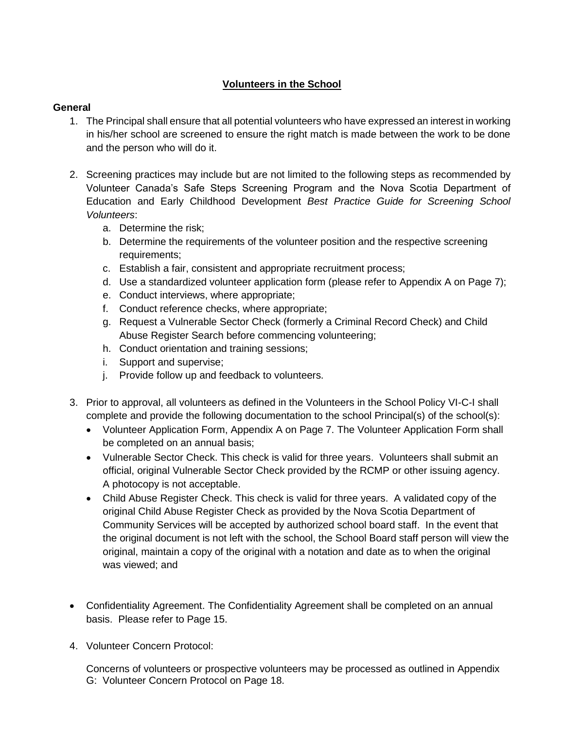# **Volunteers in the School**

### **General**

- 1. The Principal shall ensure that all potential volunteers who have expressed an interest in working in his/her school are screened to ensure the right match is made between the work to be done and the person who will do it.
- 2. Screening practices may include but are not limited to the following steps as recommended by Volunteer Canada's Safe Steps Screening Program and the Nova Scotia Department of Education and Early Childhood Development *Best Practice Guide for Screening School Volunteers*:
	- a. Determine the risk;
	- b. Determine the requirements of the volunteer position and the respective screening requirements;
	- c. Establish a fair, consistent and appropriate recruitment process;
	- d. Use a standardized volunteer application form (please refer to Appendix A on Page 7);
	- e. Conduct interviews, where appropriate;
	- f. Conduct reference checks, where appropriate;
	- g. Request a Vulnerable Sector Check (formerly a Criminal Record Check) and Child Abuse Register Search before commencing volunteering;
	- h. Conduct orientation and training sessions;
	- i. Support and supervise;
	- j. Provide follow up and feedback to volunteers.
- 3. Prior to approval, all volunteers as defined in the Volunteers in the School Policy VI-C-I shall complete and provide the following documentation to the school Principal(s) of the school(s):
	- Volunteer Application Form, Appendix A on Page 7. The Volunteer Application Form shall be completed on an annual basis;
	- Vulnerable Sector Check. This check is valid for three years. Volunteers shall submit an official, original Vulnerable Sector Check provided by the RCMP or other issuing agency. A photocopy is not acceptable.
	- Child Abuse Register Check. This check is valid for three years. A validated copy of the original Child Abuse Register Check as provided by the Nova Scotia Department of Community Services will be accepted by authorized school board staff. In the event that the original document is not left with the school, the School Board staff person will view the original, maintain a copy of the original with a notation and date as to when the original was viewed; and
- Confidentiality Agreement. The Confidentiality Agreement shall be completed on an annual basis. Please refer to Page 15.
- 4. Volunteer Concern Protocol:

Concerns of volunteers or prospective volunteers may be processed as outlined in Appendix G: Volunteer Concern Protocol on Page 18.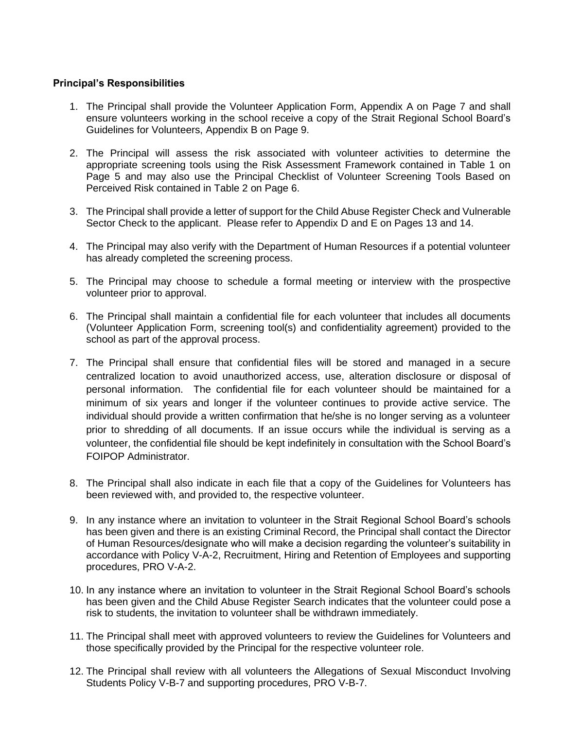### **Principal's Responsibilities**

- 1. The Principal shall provide the Volunteer Application Form, Appendix A on Page 7 and shall ensure volunteers working in the school receive a copy of the Strait Regional School Board's Guidelines for Volunteers, Appendix B on Page 9.
- 2. The Principal will assess the risk associated with volunteer activities to determine the appropriate screening tools using the Risk Assessment Framework contained in Table 1 on Page 5 and may also use the Principal Checklist of Volunteer Screening Tools Based on Perceived Risk contained in Table 2 on Page 6.
- 3. The Principal shall provide a letter of support for the Child Abuse Register Check and Vulnerable Sector Check to the applicant. Please refer to Appendix D and E on Pages 13 and 14.
- 4. The Principal may also verify with the Department of Human Resources if a potential volunteer has already completed the screening process.
- 5. The Principal may choose to schedule a formal meeting or interview with the prospective volunteer prior to approval.
- 6. The Principal shall maintain a confidential file for each volunteer that includes all documents (Volunteer Application Form, screening tool(s) and confidentiality agreement) provided to the school as part of the approval process.
- 7. The Principal shall ensure that confidential files will be stored and managed in a secure centralized location to avoid unauthorized access, use, alteration disclosure or disposal of personal information. The confidential file for each volunteer should be maintained for a minimum of six years and longer if the volunteer continues to provide active service. The individual should provide a written confirmation that he/she is no longer serving as a volunteer prior to shredding of all documents. If an issue occurs while the individual is serving as a volunteer, the confidential file should be kept indefinitely in consultation with the School Board's FOIPOP Administrator.
- 8. The Principal shall also indicate in each file that a copy of the Guidelines for Volunteers has been reviewed with, and provided to, the respective volunteer.
- 9. In any instance where an invitation to volunteer in the Strait Regional School Board's schools has been given and there is an existing Criminal Record, the Principal shall contact the Director of Human Resources/designate who will make a decision regarding the volunteer's suitability in accordance with Policy V-A-2, Recruitment, Hiring and Retention of Employees and supporting procedures, PRO V-A-2.
- 10. In any instance where an invitation to volunteer in the Strait Regional School Board's schools has been given and the Child Abuse Register Search indicates that the volunteer could pose a risk to students, the invitation to volunteer shall be withdrawn immediately.
- 11. The Principal shall meet with approved volunteers to review the Guidelines for Volunteers and those specifically provided by the Principal for the respective volunteer role.
- 12. The Principal shall review with all volunteers the Allegations of Sexual Misconduct Involving Students Policy V-B-7 and supporting procedures, PRO V-B-7.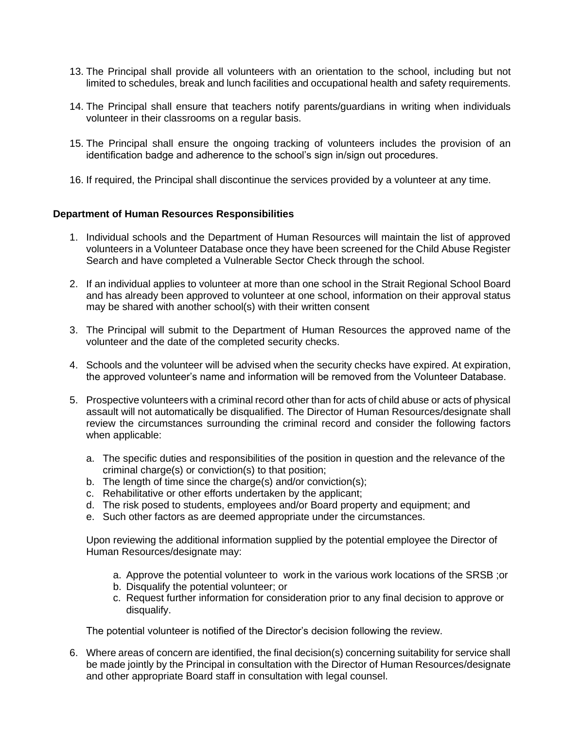- 13. The Principal shall provide all volunteers with an orientation to the school, including but not limited to schedules, break and lunch facilities and occupational health and safety requirements.
- 14. The Principal shall ensure that teachers notify parents/guardians in writing when individuals volunteer in their classrooms on a regular basis.
- 15. The Principal shall ensure the ongoing tracking of volunteers includes the provision of an identification badge and adherence to the school's sign in/sign out procedures.
- 16. If required, the Principal shall discontinue the services provided by a volunteer at any time.

#### **Department of Human Resources Responsibilities**

- 1. Individual schools and the Department of Human Resources will maintain the list of approved volunteers in a Volunteer Database once they have been screened for the Child Abuse Register Search and have completed a Vulnerable Sector Check through the school.
- 2. If an individual applies to volunteer at more than one school in the Strait Regional School Board and has already been approved to volunteer at one school, information on their approval status may be shared with another school(s) with their written consent
- 3. The Principal will submit to the Department of Human Resources the approved name of the volunteer and the date of the completed security checks.
- 4. Schools and the volunteer will be advised when the security checks have expired. At expiration, the approved volunteer's name and information will be removed from the Volunteer Database.
- 5. Prospective volunteers with a criminal record other than for acts of child abuse or acts of physical assault will not automatically be disqualified. The Director of Human Resources/designate shall review the circumstances surrounding the criminal record and consider the following factors when applicable:
	- a. The specific duties and responsibilities of the position in question and the relevance of the criminal charge(s) or conviction(s) to that position;
	- b. The length of time since the charge(s) and/or conviction(s);
	- c. Rehabilitative or other efforts undertaken by the applicant;
	- d. The risk posed to students, employees and/or Board property and equipment; and
	- e. Such other factors as are deemed appropriate under the circumstances.

Upon reviewing the additional information supplied by the potential employee the Director of Human Resources/designate may:

- a. Approve the potential volunteer to work in the various work locations of the SRSB ;or
- b. Disqualify the potential volunteer; or
- c. Request further information for consideration prior to any final decision to approve or disqualify.

The potential volunteer is notified of the Director's decision following the review.

6. Where areas of concern are identified, the final decision(s) concerning suitability for service shall be made jointly by the Principal in consultation with the Director of Human Resources/designate and other appropriate Board staff in consultation with legal counsel.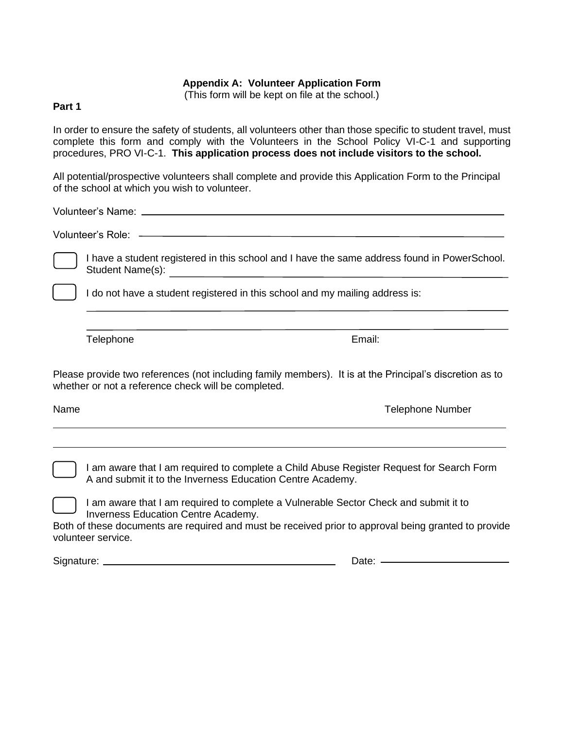#### **Appendix A: Volunteer Application Form**

(This form will be kept on file at the school.)

## **Part 1**

In order to ensure the safety of students, all volunteers other than those specific to student travel, must complete this form and comply with the Volunteers in the School Policy VI-C-1 and supporting procedures, PRO VI-C-1. **This application process does not include visitors to the school.**

All potential/prospective volunteers shall complete and provide this Application Form to the Principal of the school at which you wish to volunteer.

Volunteer's Name:

Volunteer's Role:

I have a student registered in this school and I have the same address found in PowerSchool. Student Name(s): <br>
Student Name(s):

I do not have a student registered in this school and my mailing address is:

Telephone **Email:** 

Please provide two references (not including family members). It is at the Principal's discretion as to whether or not a reference check will be completed.

Name Telephone Number

I am aware that I am required to complete a Child Abuse Register Request for Search Form A and submit it to the Inverness Education Centre Academy.

I am aware that I am required to complete a Vulnerable Sector Check and submit it to Inverness Education Centre Academy.

Both of these documents are required and must be received prior to approval being granted to provide volunteer service.

Signature: Date: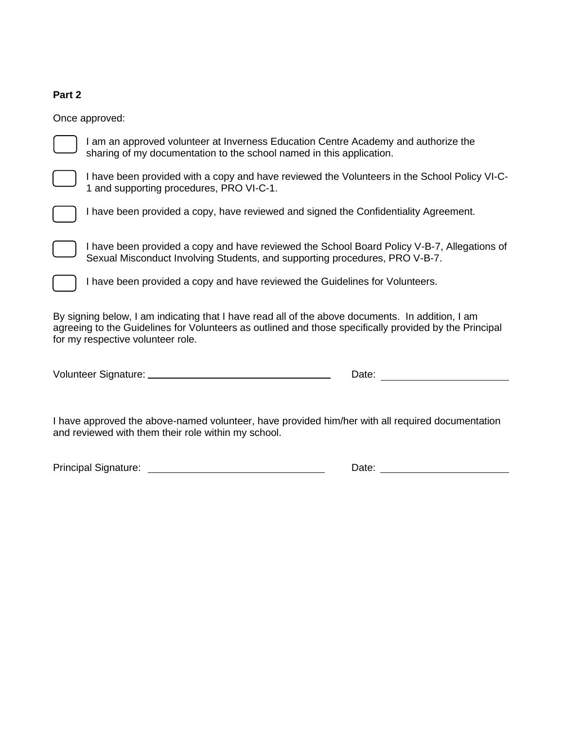## **Part 2**

Once approved:

I am an approved volunteer at Inverness Education Centre Academy and authorize the sharing of my documentation to the school named in this application.

I have been provided with a copy and have reviewed the Volunteers in the School Policy VI-C-1 and supporting procedures, PRO VI-C-1.

I have been provided a copy, have reviewed and signed the Confidentiality Agreement.

I have been provided a copy and have reviewed the School Board Policy V-B-7, Allegations of Sexual Misconduct Involving Students, and supporting procedures, PRO V-B-7.

I have been provided a copy and have reviewed the Guidelines for Volunteers.

By signing below, I am indicating that I have read all of the above documents. In addition, I am agreeing to the Guidelines for Volunteers as outlined and those specifically provided by the Principal for my respective volunteer role.

| Volunteer Signature:<br>Jate |  |
|------------------------------|--|
|------------------------------|--|

I have approved the above-named volunteer, have provided him/her with all required documentation and reviewed with them their role within my school.

| <b>Principal Signature:</b> | Date: |
|-----------------------------|-------|
|                             |       |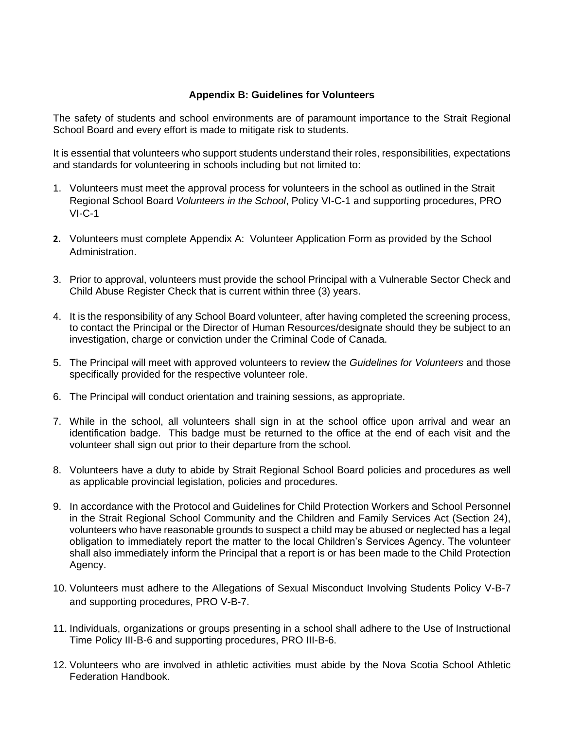### **Appendix B: Guidelines for Volunteers**

The safety of students and school environments are of paramount importance to the Strait Regional School Board and every effort is made to mitigate risk to students.

It is essential that volunteers who support students understand their roles, responsibilities, expectations and standards for volunteering in schools including but not limited to:

- 1. Volunteers must meet the approval process for volunteers in the school as outlined in the Strait Regional School Board *Volunteers in the School*, Policy VI-C-1 and supporting procedures, PRO VI-C-1
- **2.** Volunteers must complete Appendix A: Volunteer Application Form as provided by the School Administration.
- 3. Prior to approval, volunteers must provide the school Principal with a Vulnerable Sector Check and Child Abuse Register Check that is current within three (3) years.
- 4. It is the responsibility of any School Board volunteer, after having completed the screening process, to contact the Principal or the Director of Human Resources/designate should they be subject to an investigation, charge or conviction under the Criminal Code of Canada.
- 5. The Principal will meet with approved volunteers to review the *Guidelines for Volunteers* and those specifically provided for the respective volunteer role.
- 6. The Principal will conduct orientation and training sessions, as appropriate.
- 7. While in the school, all volunteers shall sign in at the school office upon arrival and wear an identification badge. This badge must be returned to the office at the end of each visit and the volunteer shall sign out prior to their departure from the school.
- 8. Volunteers have a duty to abide by Strait Regional School Board policies and procedures as well as applicable provincial legislation, policies and procedures.
- 9. In accordance with the Protocol and Guidelines for Child Protection Workers and School Personnel in the Strait Regional School Community and the Children and Family Services Act (Section 24), volunteers who have reasonable grounds to suspect a child may be abused or neglected has a legal obligation to immediately report the matter to the local Children's Services Agency. The volunteer shall also immediately inform the Principal that a report is or has been made to the Child Protection Agency.
- 10. Volunteers must adhere to the Allegations of Sexual Misconduct Involving Students Policy V-B-7 and supporting procedures, PRO V-B-7.
- 11. Individuals, organizations or groups presenting in a school shall adhere to the Use of Instructional Time Policy III-B-6 and supporting procedures, PRO III-B-6.
- 12. Volunteers who are involved in athletic activities must abide by the Nova Scotia School Athletic Federation Handbook.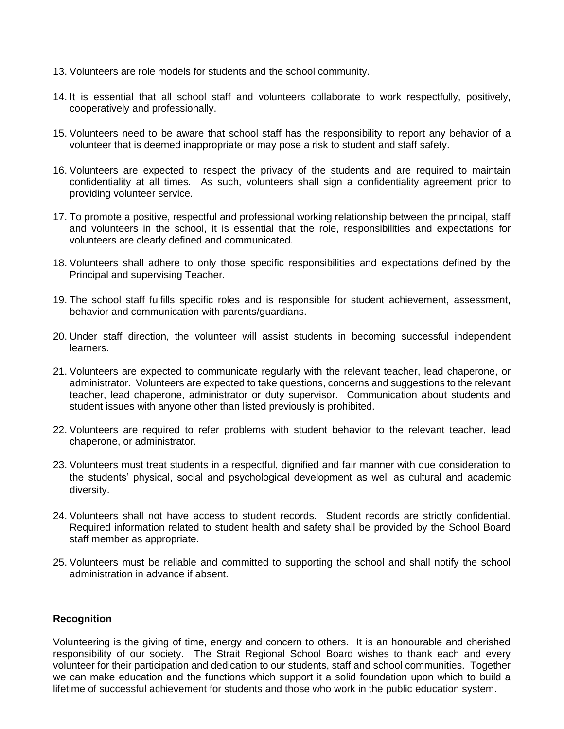- 13. Volunteers are role models for students and the school community.
- 14. It is essential that all school staff and volunteers collaborate to work respectfully, positively, cooperatively and professionally.
- 15. Volunteers need to be aware that school staff has the responsibility to report any behavior of a volunteer that is deemed inappropriate or may pose a risk to student and staff safety.
- 16. Volunteers are expected to respect the privacy of the students and are required to maintain confidentiality at all times. As such, volunteers shall sign a confidentiality agreement prior to providing volunteer service.
- 17. To promote a positive, respectful and professional working relationship between the principal, staff and volunteers in the school, it is essential that the role, responsibilities and expectations for volunteers are clearly defined and communicated.
- 18. Volunteers shall adhere to only those specific responsibilities and expectations defined by the Principal and supervising Teacher.
- 19. The school staff fulfills specific roles and is responsible for student achievement, assessment, behavior and communication with parents/guardians.
- 20. Under staff direction, the volunteer will assist students in becoming successful independent learners.
- 21. Volunteers are expected to communicate regularly with the relevant teacher, lead chaperone, or administrator. Volunteers are expected to take questions, concerns and suggestions to the relevant teacher, lead chaperone, administrator or duty supervisor. Communication about students and student issues with anyone other than listed previously is prohibited.
- 22. Volunteers are required to refer problems with student behavior to the relevant teacher, lead chaperone, or administrator.
- 23. Volunteers must treat students in a respectful, dignified and fair manner with due consideration to the students' physical, social and psychological development as well as cultural and academic diversity.
- 24. Volunteers shall not have access to student records. Student records are strictly confidential. Required information related to student health and safety shall be provided by the School Board staff member as appropriate.
- 25. Volunteers must be reliable and committed to supporting the school and shall notify the school administration in advance if absent.

## **Recognition**

Volunteering is the giving of time, energy and concern to others. It is an honourable and cherished responsibility of our society. The Strait Regional School Board wishes to thank each and every volunteer for their participation and dedication to our students, staff and school communities. Together we can make education and the functions which support it a solid foundation upon which to build a lifetime of successful achievement for students and those who work in the public education system.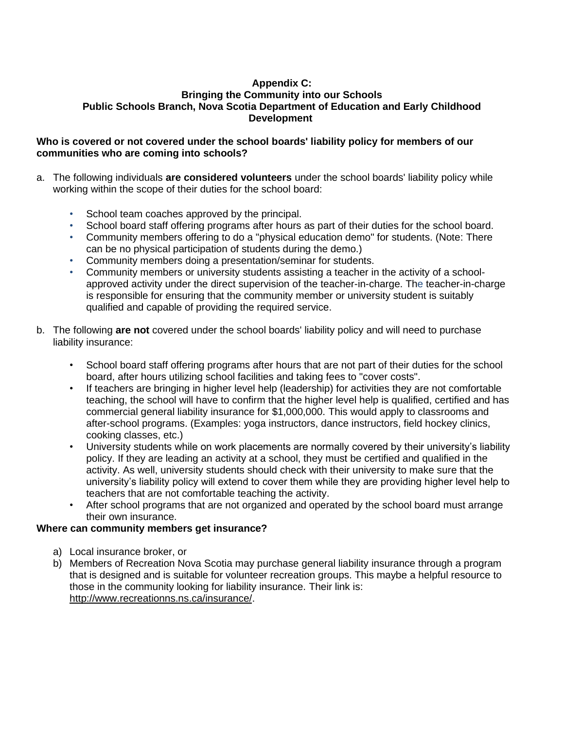### **Appendix C: Bringing the Community into our Schools Public Schools Branch, Nova Scotia Department of Education and Early Childhood Development**

### **Who is covered or not covered under the school boards' liability policy for members of our communities who are coming into schools?**

- a. The following individuals **are considered volunteers** under the school boards' liability policy while working within the scope of their duties for the school board:
	- School team coaches approved by the principal.
	- School board staff offering programs after hours as part of their duties for the school board.
	- Community members offering to do a "physical education demo" for students. (Note: There can be no physical participation of students during the demo.)
	- Community members doing a presentation/seminar for students.
	- Community members or university students assisting a teacher in the activity of a schoolapproved activity under the direct supervision of the teacher-in-charge. The teacher-in-charge is responsible for ensuring that the community member or university student is suitably qualified and capable of providing the required service.
- b. The following **are not** covered under the school boards' liability policy and will need to purchase liability insurance:
	- School board staff offering programs after hours that are not part of their duties for the school board, after hours utilizing school facilities and taking fees to "cover costs".
	- If teachers are bringing in higher level help (leadership) for activities they are not comfortable teaching, the school will have to confirm that the higher level help is qualified, certified and has commercial general liability insurance for \$1,000,000. This would apply to classrooms and after-school programs. (Examples: yoga instructors, dance instructors, field hockey clinics, cooking classes, etc.)
	- University students while on work placements are normally covered by their university's liability policy. If they are leading an activity at a school, they must be certified and qualified in the activity. As well, university students should check with their university to make sure that the university's liability policy will extend to cover them while they are providing higher level help to teachers that are not comfortable teaching the activity.
	- After school programs that are not organized and operated by the school board must arrange their own insurance.

## **Where can community members get insurance?**

- a) Local insurance broker, or
- b) Members of Recreation Nova Scotia may purchase general liability insurance through a program that is designed and is suitable for volunteer recreation groups. This maybe a helpful resource to those in the community looking for liability insurance. Their link is: [http://www.recreationns.ns.ca/insurance/.](http://www.recreationns.ns.ca/insurance/)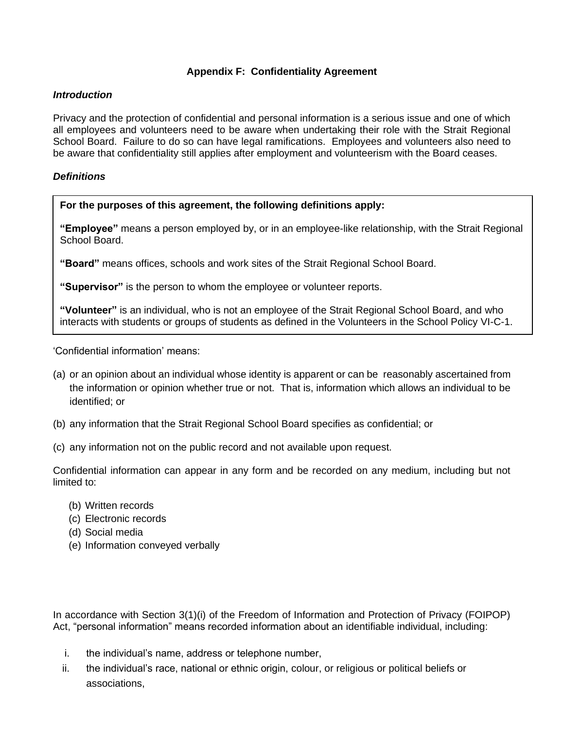## **Appendix F: Confidentiality Agreement**

### *Introduction*

Privacy and the protection of confidential and personal information is a serious issue and one of which all employees and volunteers need to be aware when undertaking their role with the Strait Regional School Board. Failure to do so can have legal ramifications. Employees and volunteers also need to be aware that confidentiality still applies after employment and volunteerism with the Board ceases.

### *Definitions*

**For the purposes of this agreement, the following definitions apply:**

**"Employee"** means a person employed by, or in an employee-like relationship, with the Strait Regional School Board.

**"Board"** means offices, schools and work sites of the Strait Regional School Board.

**"Supervisor"** is the person to whom the employee or volunteer reports.

**"Volunteer"** is an individual, who is not an employee of the Strait Regional School Board, and who interacts with students or groups of students as defined in the Volunteers in the School Policy VI-C-1.

'Confidential information' means:

- (a) or an opinion about an individual whose identity is apparent or can be reasonably ascertained from the information or opinion whether true or not. That is, information which allows an individual to be identified; or
- (b) any information that the Strait Regional School Board specifies as confidential; or
- (c) any information not on the public record and not available upon request.

Confidential information can appear in any form and be recorded on any medium, including but not limited to:

- (b) Written records
- (c) Electronic records
- (d) Social media
- (e) Information conveyed verbally

In accordance with Section 3(1)(i) of the Freedom of Information and Protection of Privacy (FOIPOP) Act, "personal information" means recorded information about an identifiable individual, including:

- i. the individual's name, address or telephone number,
- ii. the individual's race, national or ethnic origin, colour, or religious or political beliefs or associations,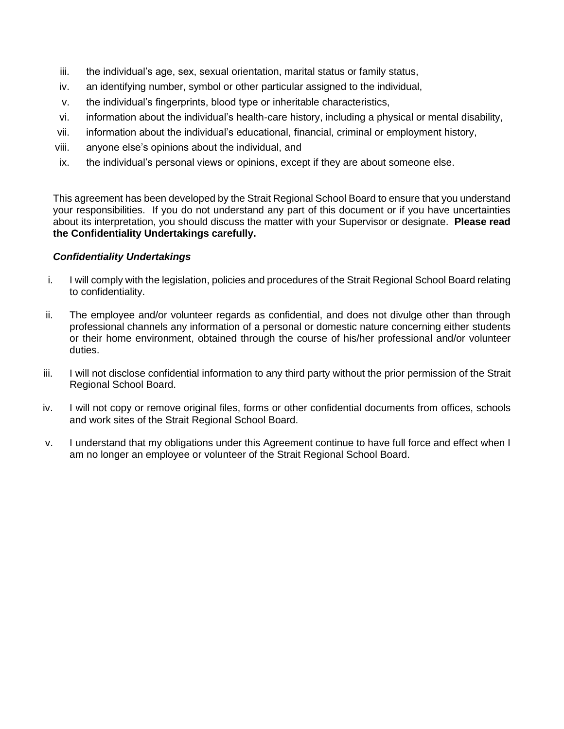- iii. the individual's age, sex, sexual orientation, marital status or family status,
- iv. an identifying number, symbol or other particular assigned to the individual,
- v. the individual's fingerprints, blood type or inheritable characteristics,
- vi. information about the individual's health-care history, including a physical or mental disability,
- vii. information about the individual's educational, financial, criminal or employment history,
- viii. anyone else's opinions about the individual, and
- ix. the individual's personal views or opinions, except if they are about someone else.

This agreement has been developed by the Strait Regional School Board to ensure that you understand your responsibilities. If you do not understand any part of this document or if you have uncertainties about its interpretation, you should discuss the matter with your Supervisor or designate. **Please read the Confidentiality Undertakings carefully.**

## *Confidentiality Undertakings*

- i. I will comply with the legislation, policies and procedures of the Strait Regional School Board relating to confidentiality.
- ii. The employee and/or volunteer regards as confidential, and does not divulge other than through professional channels any information of a personal or domestic nature concerning either students or their home environment, obtained through the course of his/her professional and/or volunteer duties.
- iii. I will not disclose confidential information to any third party without the prior permission of the Strait Regional School Board.
- iv. I will not copy or remove original files, forms or other confidential documents from offices, schools and work sites of the Strait Regional School Board.
- v. I understand that my obligations under this Agreement continue to have full force and effect when I am no longer an employee or volunteer of the Strait Regional School Board.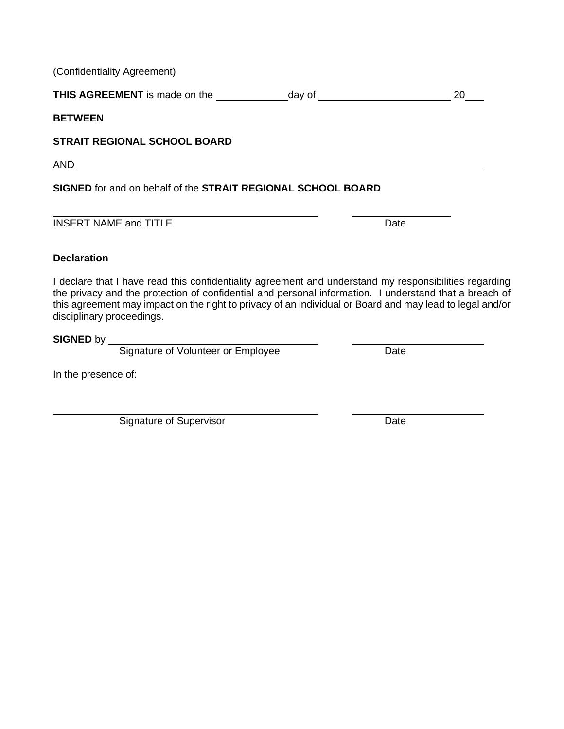(Confidentiality Agreement)

**THIS AGREEMENT** is made on the day of 20

**BETWEEN**

# **STRAIT REGIONAL SCHOOL BOARD**

AND

**SIGNED** for and on behalf of the **STRAIT REGIONAL SCHOOL BOARD**

**INSERT NAME and TITLE** Date

## **Declaration**

I declare that I have read this confidentiality agreement and understand my responsibilities regarding the privacy and the protection of confidential and personal information. I understand that a breach of this agreement may impact on the right to privacy of an individual or Board and may lead to legal and/or disciplinary proceedings.

**SIGNED by \_\_** 

Signature of Volunteer or Employee Date

In the presence of:

Signature of Supervisor Date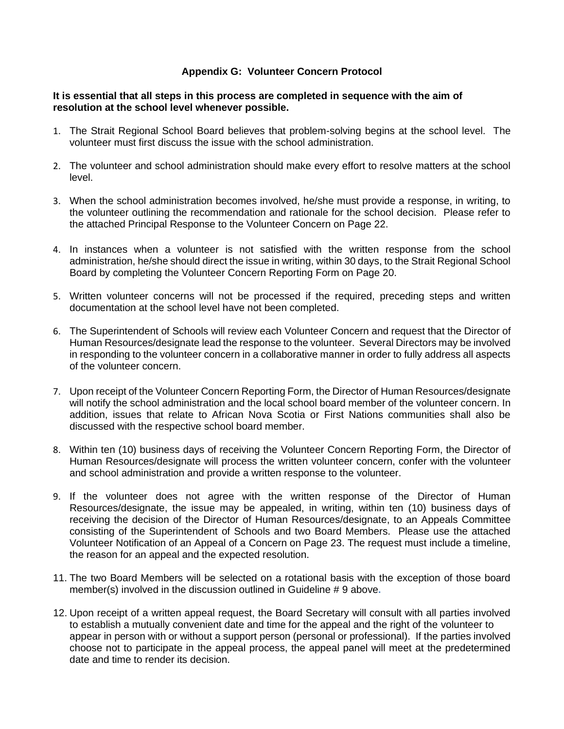## **Appendix G: Volunteer Concern Protocol**

#### **It is essential that all steps in this process are completed in sequence with the aim of resolution at the school level whenever possible.**

- 1. The Strait Regional School Board believes that problem-solving begins at the school level. The volunteer must first discuss the issue with the school administration.
- 2. The volunteer and school administration should make every effort to resolve matters at the school level.
- 3. When the school administration becomes involved, he/she must provide a response, in writing, to the volunteer outlining the recommendation and rationale for the school decision. Please refer to the attached Principal Response to the Volunteer Concern on Page 22.
- 4. In instances when a volunteer is not satisfied with the written response from the school administration, he/she should direct the issue in writing, within 30 days, to the Strait Regional School Board by completing the Volunteer Concern Reporting Form on Page 20.
- 5. Written volunteer concerns will not be processed if the required, preceding steps and written documentation at the school level have not been completed.
- 6. The Superintendent of Schools will review each Volunteer Concern and request that the Director of Human Resources/designate lead the response to the volunteer. Several Directors may be involved in responding to the volunteer concern in a collaborative manner in order to fully address all aspects of the volunteer concern.
- 7. Upon receipt of the Volunteer Concern Reporting Form, the Director of Human Resources/designate will notify the school administration and the local school board member of the volunteer concern. In addition, issues that relate to African Nova Scotia or First Nations communities shall also be discussed with the respective school board member.
- 8. Within ten (10) business days of receiving the Volunteer Concern Reporting Form, the Director of Human Resources/designate will process the written volunteer concern, confer with the volunteer and school administration and provide a written response to the volunteer.
- 9. If the volunteer does not agree with the written response of the Director of Human Resources/designate, the issue may be appealed, in writing, within ten (10) business days of receiving the decision of the Director of Human Resources/designate, to an Appeals Committee consisting of the Superintendent of Schools and two Board Members. Please use the attached Volunteer Notification of an Appeal of a Concern on Page 23. The request must include a timeline, the reason for an appeal and the expected resolution.
- 11. The two Board Members will be selected on a rotational basis with the exception of those board member(s) involved in the discussion outlined in Guideline # 9 above**.**
- 12. Upon receipt of a written appeal request, the Board Secretary will consult with all parties involved to establish a mutually convenient date and time for the appeal and the right of the volunteer to appear in person with or without a support person (personal or professional). If the parties involved choose not to participate in the appeal process, the appeal panel will meet at the predetermined date and time to render its decision.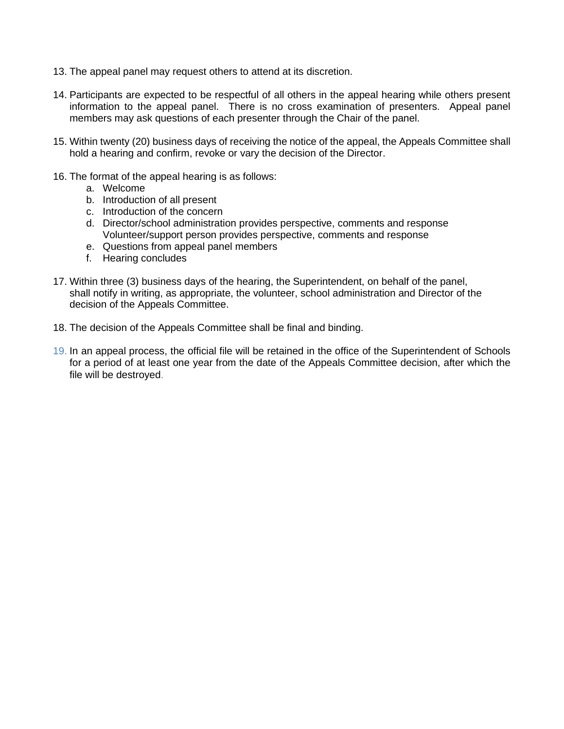- 13. The appeal panel may request others to attend at its discretion.
- 14. Participants are expected to be respectful of all others in the appeal hearing while others present information to the appeal panel. There is no cross examination of presenters. Appeal panel members may ask questions of each presenter through the Chair of the panel.
- 15. Within twenty (20) business days of receiving the notice of the appeal, the Appeals Committee shall hold a hearing and confirm, revoke or vary the decision of the Director.
- 16. The format of the appeal hearing is as follows:
	- a. Welcome
	- b. Introduction of all present
	- c. Introduction of the concern
	- d. Director/school administration provides perspective, comments and response Volunteer/support person provides perspective, comments and response
	- e. Questions from appeal panel members
	- f. Hearing concludes
- 17. Within three (3) business days of the hearing, the Superintendent, on behalf of the panel, shall notify in writing, as appropriate, the volunteer, school administration and Director of the decision of the Appeals Committee.
- 18. The decision of the Appeals Committee shall be final and binding.
- 19. In an appeal process, the official file will be retained in the office of the Superintendent of Schools for a period of at least one year from the date of the Appeals Committee decision, after which the file will be destroyed.